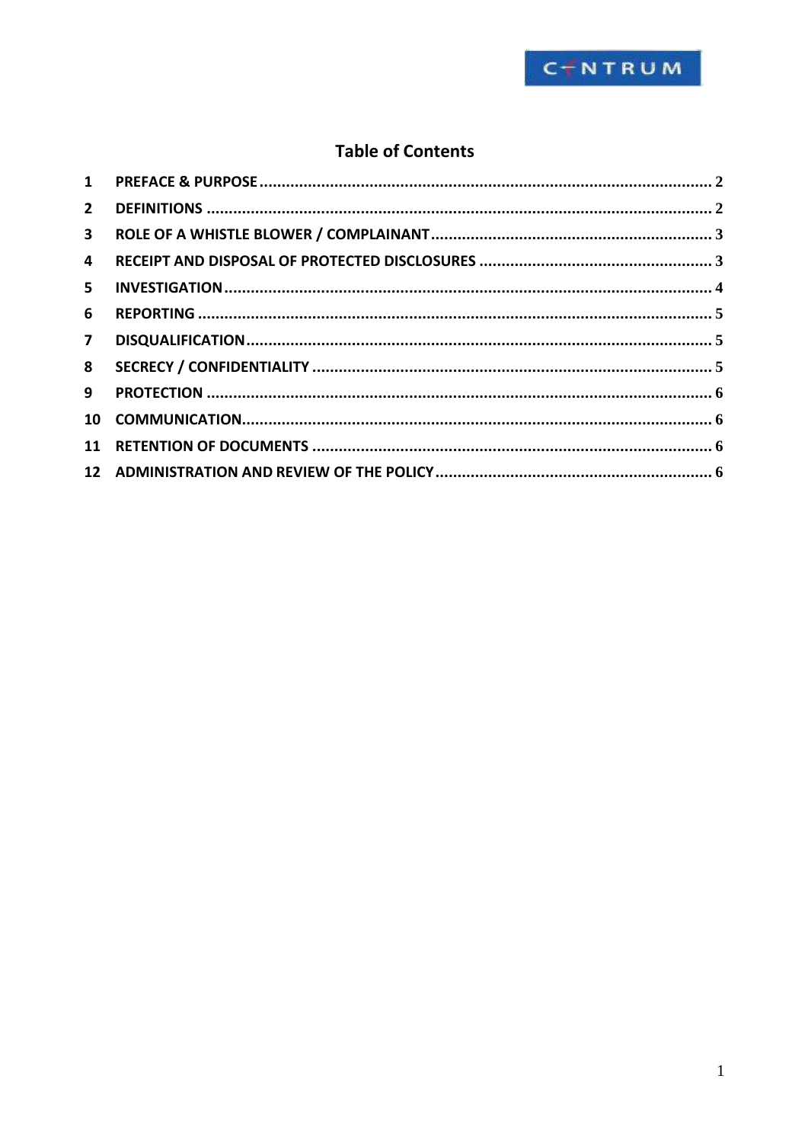

# **Table of Contents**

| $2^{\circ}$             |  |
|-------------------------|--|
| 3 <sup>7</sup>          |  |
| $\overline{\mathbf{4}}$ |  |
| 5                       |  |
| 6                       |  |
| $\overline{7}$          |  |
| 8                       |  |
| 9                       |  |
|                         |  |
|                         |  |
|                         |  |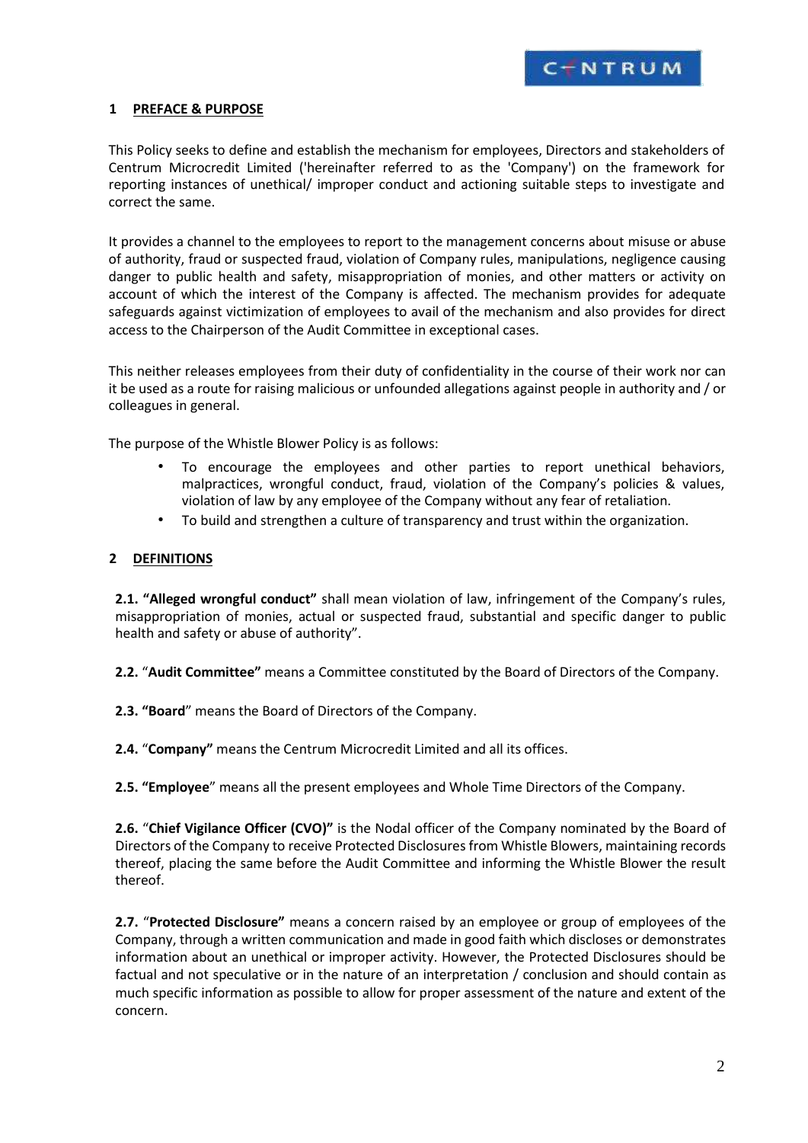

## <span id="page-1-0"></span>**1 PREFACE & PURPOSE**

This Policy seeks to define and establish the mechanism for employees, Directors and stakeholders of Centrum Microcredit Limited ('hereinafter referred to as the 'Company') on the framework for reporting instances of unethical/ improper conduct and actioning suitable steps to investigate and correct the same.

It provides a channel to the employees to report to the management concerns about misuse or abuse of authority, fraud or suspected fraud, violation of Company rules, manipulations, negligence causing danger to public health and safety, misappropriation of monies, and other matters or activity on account of which the interest of the Company is affected. The mechanism provides for adequate safeguards against victimization of employees to avail of the mechanism and also provides for direct access to the Chairperson of the Audit Committee in exceptional cases.

This neither releases employees from their duty of confidentiality in the course of their work nor can it be used as a route for raising malicious or unfounded allegations against people in authority and / or colleagues in general.

The purpose of the Whistle Blower Policy is as follows:

- To encourage the employees and other parties to report unethical behaviors, malpractices, wrongful conduct, fraud, violation of the Company's policies & values, violation of law by any employee of the Company without any fear of retaliation.
- To build and strengthen a culture of transparency and trust within the organization.

# **2 DEFINITIONS**

**2.1. "Alleged wrongful conduct"** shall mean violation of law, infringement of the Company's rules, misappropriation of monies, actual or suspected fraud, substantial and specific danger to public health and safety or abuse of authority".

**2.2.** "**Audit Committee"** means a Committee constituted by the Board of Directors of the Company.

**2.3. "Board**" means the Board of Directors of the Company.

**2.4.** "**Company"** means the Centrum Microcredit Limited and all its offices.

**2.5. "Employee**" means all the present employees and Whole Time Directors of the Company.

**2.6.** "**Chief Vigilance Officer (CVO)"** is the Nodal officer of the Company nominated by the Board of Directors of the Company to receive Protected Disclosures from Whistle Blowers, maintaining records thereof, placing the same before the Audit Committee and informing the Whistle Blower the result thereof.

**2.7.** "**Protected Disclosure"** means a concern raised by an employee or group of employees of the Company, through a written communication and made in good faith which discloses or demonstrates information about an unethical or improper activity. However, the Protected Disclosures should be factual and not speculative or in the nature of an interpretation / conclusion and should contain as much specific information as possible to allow for proper assessment of the nature and extent of the concern.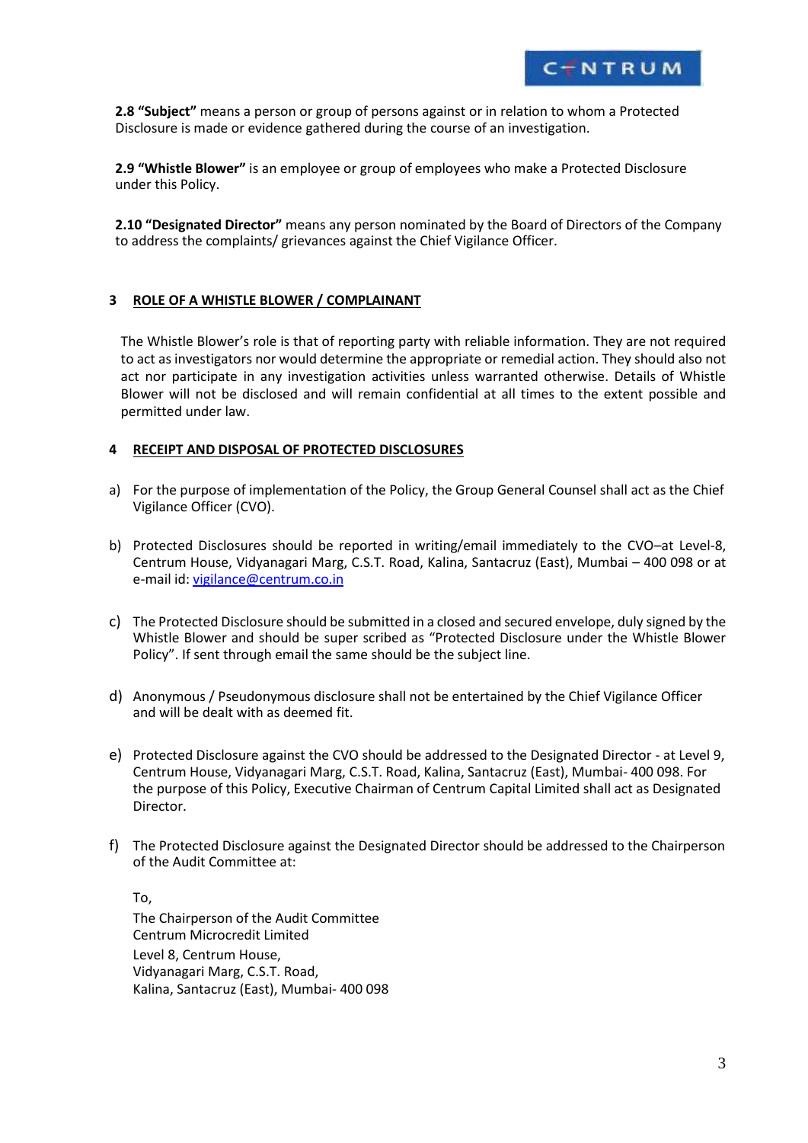

<span id="page-2-0"></span>**2.8 "Subject"** means a person or group of persons against or in relation to whom a Protected Disclosure is made or evidence gathered during the course of an investigation.

**2.9 "Whistle Blower"** is an employee or group of employees who make a Protected Disclosure under this Policy.

**2.10 "Designated Director"** means any person nominated by the Board of Directors of the Company to address the complaints/ grievances against the Chief Vigilance Officer.

## **3 ROLE OF A WHISTLE BLOWER / COMPLAINANT**

The Whistle Blower's role is that of reporting party with reliable information. They are not required to act as investigators nor would determine the appropriate or remedial action. They should also not act nor participate in any investigation activities unless warranted otherwise. Details of Whistle Blower will not be disclosed and will remain confidential at all times to the extent possible and permitted under law.

## **4 RECEIPT AND DISPOSAL OF PROTECTED DISCLOSURES**

- a) For the purpose of implementation of the Policy, the Group General Counsel shall act as the Chief Vigilance Officer (CVO).
- b) Protected Disclosures should be reported in writing/email immediately to the CVO–at Level-8, Centrum House, Vidyanagari Marg, C.S.T. Road, Kalina, Santacruz (East), Mumbai – 400 098 or at e-mail id: [vigilance@centrum.co.in](mailto:vigilance@centrum.co.in)
- c) The Protected Disclosure should be submitted in a closed and secured envelope, duly signed by the Whistle Blower and should be super scribed as "Protected Disclosure under the Whistle Blower Policy". If sent through email the same should be the subject line.
- d) Anonymous / Pseudonymous disclosure shall not be entertained by the Chief Vigilance Officer and will be dealt with as deemed fit.
- e) Protected Disclosure against the CVO should be addressed to the Designated Director at Level 9, Centrum House, Vidyanagari Marg, C.S.T. Road, Kalina, Santacruz (East), Mumbai- 400 098. For the purpose of this Policy, Executive Chairman of Centrum Capital Limited shall act as Designated Director.
- f) The Protected Disclosure against the Designated Director should be addressed to the Chairperson of the Audit Committee at:

To, The Chairperson of the Audit Committee Centrum Microcredit Limited Level 8, Centrum House, Vidyanagari Marg, C.S.T. Road, Kalina, Santacruz (East), Mumbai- 400 098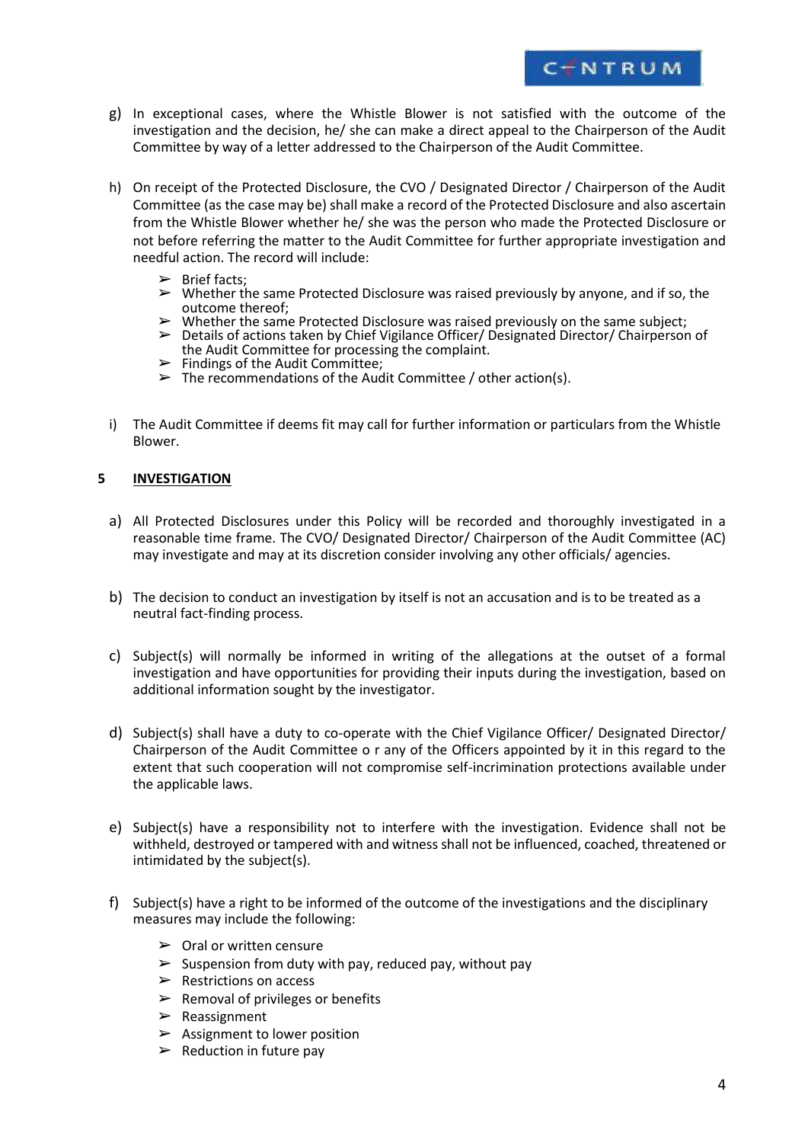

- <span id="page-3-0"></span>g) In exceptional cases, where the Whistle Blower is not satisfied with the outcome of the investigation and the decision, he/ she can make a direct appeal to the Chairperson of the Audit Committee by way of a letter addressed to the Chairperson of the Audit Committee.
- h) On receipt of the Protected Disclosure, the CVO / Designated Director / Chairperson of the Audit Committee (as the case may be) shall make a record of the Protected Disclosure and also ascertain from the Whistle Blower whether he/ she was the person who made the Protected Disclosure or not before referring the matter to the Audit Committee for further appropriate investigation and needful action. The record will include:
	- $\triangleright$  Brief facts;
	- $\triangleright$  Whether the same Protected Disclosure was raised previously by anyone, and if so, the outcome thereof;
	- $\triangleright$  Whether the same Protected Disclosure was raised previously on the same subject;
	- ➢ Details of actions taken by Chief Vigilance Officer/ Designated Director/ Chairperson of the Audit Committee for processing the complaint.
	- $\blacktriangleright$  Findings of the Audit Committee;
	- $\triangleright$  The recommendations of the Audit Committee / other action(s).
- i) The Audit Committee if deems fit may call for further information or particulars from the Whistle Blower.

#### **5 INVESTIGATION**

- a) All Protected Disclosures under this Policy will be recorded and thoroughly investigated in a reasonable time frame. The CVO/ Designated Director/ Chairperson of the Audit Committee (AC) may investigate and may at its discretion consider involving any other officials/ agencies.
- b) The decision to conduct an investigation by itself is not an accusation and is to be treated as a neutral fact-finding process.
- c) Subject(s) will normally be informed in writing of the allegations at the outset of a formal investigation and have opportunities for providing their inputs during the investigation, based on additional information sought by the investigator.
- d) Subject(s) shall have a duty to co-operate with the Chief Vigilance Officer/ Designated Director/ Chairperson of the Audit Committee o r any of the Officers appointed by it in this regard to the extent that such cooperation will not compromise self-incrimination protections available under the applicable laws.
- e) Subject(s) have a responsibility not to interfere with the investigation. Evidence shall not be withheld, destroyed or tampered with and witness shall not be influenced, coached, threatened or intimidated by the subject(s).
- f) Subject(s) have a right to be informed of the outcome of the investigations and the disciplinary measures may include the following:
	- $\triangleright$  Oral or written censure
	- $\triangleright$  Suspension from duty with pay, reduced pay, without pay
	- $\triangleright$  Restrictions on access
	- $\triangleright$  Removal of privileges or benefits
	- $\blacktriangleright$  Reassignment
	- $\blacktriangleright$  Assignment to lower position
	- $\triangleright$  Reduction in future pay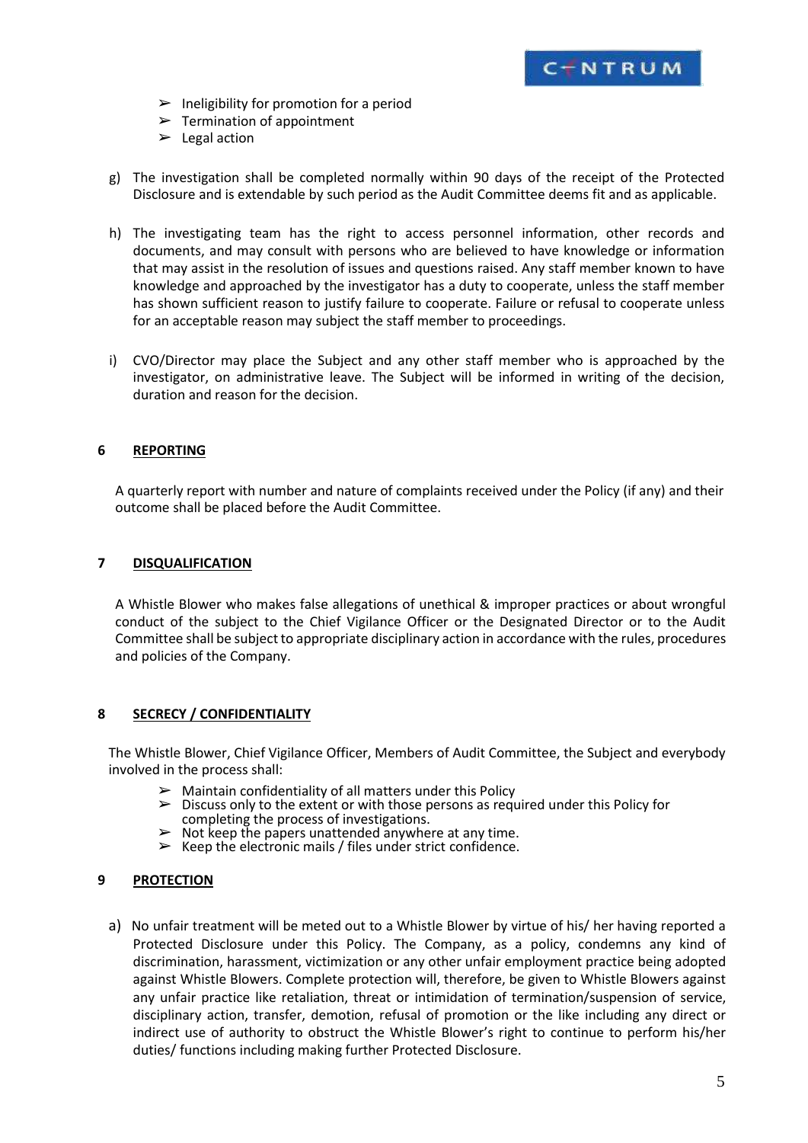

- <span id="page-4-0"></span> $\blacktriangleright$  Ineligibility for promotion for a period
- $\triangleright$  Termination of appointment
- $\blacktriangleright$  Legal action
- g) The investigation shall be completed normally within 90 days of the receipt of the Protected Disclosure and is extendable by such period as the Audit Committee deems fit and as applicable.
- h) The investigating team has the right to access personnel information, other records and documents, and may consult with persons who are believed to have knowledge or information that may assist in the resolution of issues and questions raised. Any staff member known to have knowledge and approached by the investigator has a duty to cooperate, unless the staff member has shown sufficient reason to justify failure to cooperate. Failure or refusal to cooperate unless for an acceptable reason may subject the staff member to proceedings.
- i) CVO/Director may place the Subject and any other staff member who is approached by the investigator, on administrative leave. The Subject will be informed in writing of the decision, duration and reason for the decision.

# **6 REPORTING**

A quarterly report with number and nature of complaints received under the Policy (if any) and their outcome shall be placed before the Audit Committee.

## **7 DISQUALIFICATION**

A Whistle Blower who makes false allegations of unethical & improper practices or about wrongful conduct of the subject to the Chief Vigilance Officer or the Designated Director or to the Audit Committee shall be subject to appropriate disciplinary action in accordance with the rules, procedures and policies of the Company.

## **8 SECRECY / CONFIDENTIALITY**

The Whistle Blower, Chief Vigilance Officer, Members of Audit Committee, the Subject and everybody involved in the process shall:

- $\triangleright$  Maintain confidentiality of all matters under this Policy  $\triangleright$  Discuss only to the extent or with those persons as regu
- ➢ Discuss only to the extent or with those persons as required under this Policy for completing the process of investigations.
- ➢ Not keep the papers unattended anywhere at any time.
- $\triangleright$  Keep the electronic mails / files under strict confidence.

## **9 PROTECTION**

a) No unfair treatment will be meted out to a Whistle Blower by virtue of his/ her having reported a Protected Disclosure under this Policy. The Company, as a policy, condemns any kind of discrimination, harassment, victimization or any other unfair employment practice being adopted against Whistle Blowers. Complete protection will, therefore, be given to Whistle Blowers against any unfair practice like retaliation, threat or intimidation of termination/suspension of service, disciplinary action, transfer, demotion, refusal of promotion or the like including any direct or indirect use of authority to obstruct the Whistle Blower's right to continue to perform his/her duties/ functions including making further Protected Disclosure.